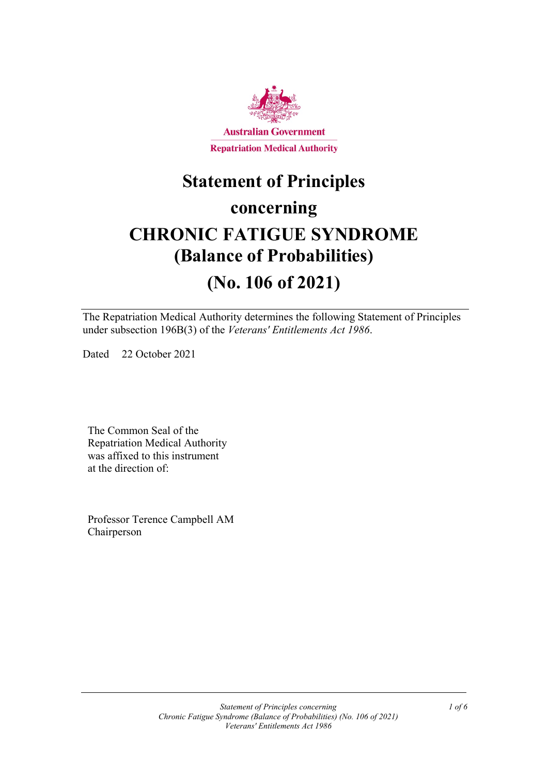

## **Statement of Principles**

### **concerning**

# **CHRONIC FATIGUE SYNDROME (Balance of Probabilities)**

### **(No. 106 of 2021)**

The Repatriation Medical Authority determines the following Statement of Principles under subsection 196B(3) of the *Veterans' Entitlements Act 1986*.

Dated 22 October 2021

The Common Seal of the Repatriation Medical Authority was affixed to this instrument at the direction of:

Professor Terence Campbell AM Chairperson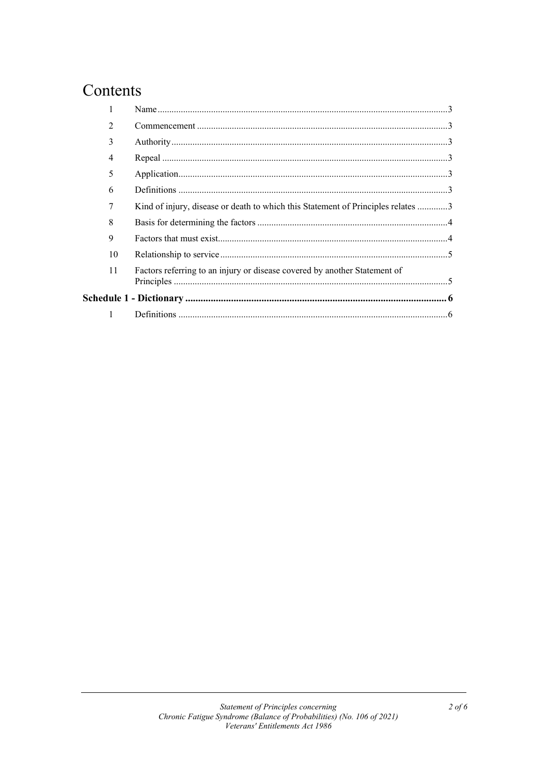### Contents

| $\mathfrak{D}$ |                                                                                  |  |
|----------------|----------------------------------------------------------------------------------|--|
| 3              |                                                                                  |  |
| 4              |                                                                                  |  |
| 5              |                                                                                  |  |
| 6              |                                                                                  |  |
|                | Kind of injury, disease or death to which this Statement of Principles relates 3 |  |
| 8              |                                                                                  |  |
| 9              |                                                                                  |  |
| 10             |                                                                                  |  |
| 11             | Factors referring to an injury or disease covered by another Statement of        |  |
|                |                                                                                  |  |
| $\mathbf{1}$   |                                                                                  |  |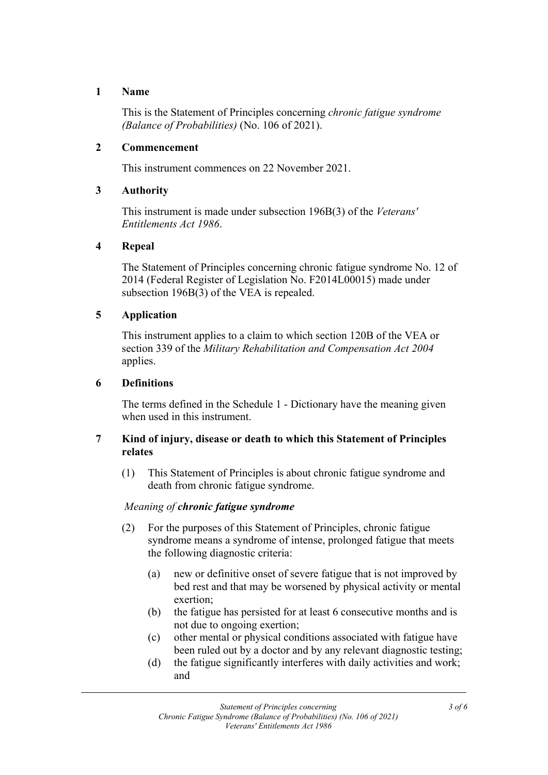#### **1 Name**

This is the Statement of Principles concerning *chronic fatigue syndrome (Balance of Probabilities)* (No. 106 of 2021).

#### **2 Commencement**

This instrument commences on 22 November 2021.

#### **3 Authority**

This instrument is made under subsection 196B(3) of the *Veterans' Entitlements Act 1986*.

#### **4 Repeal**

The Statement of Principles concerning chronic fatigue syndrome No. 12 of 2014 (Federal Register of Legislation No. F2014L00015) made under subsection 196B(3) of the VEA is repealed.

#### **5 Application**

This instrument applies to a claim to which section 120B of the VEA or section 339 of the *Military Rehabilitation and Compensation Act 2004* applies.

#### **6 Definitions**

The terms defined in the Schedule 1 - Dictionary have the meaning given when used in this instrument.

#### **7 Kind of injury, disease or death to which this Statement of Principles relates**

(1) This Statement of Principles is about chronic fatigue syndrome and death from chronic fatigue syndrome.

#### *Meaning of chronic fatigue syndrome*

- (2) For the purposes of this Statement of Principles, chronic fatigue syndrome means a syndrome of intense, prolonged fatigue that meets the following diagnostic criteria:
	- (a) new or definitive onset of severe fatigue that is not improved by bed rest and that may be worsened by physical activity or mental exertion;
	- (b) the fatigue has persisted for at least 6 consecutive months and is not due to ongoing exertion;
	- (c) other mental or physical conditions associated with fatigue have been ruled out by a doctor and by any relevant diagnostic testing;
	- (d) the fatigue significantly interferes with daily activities and work; and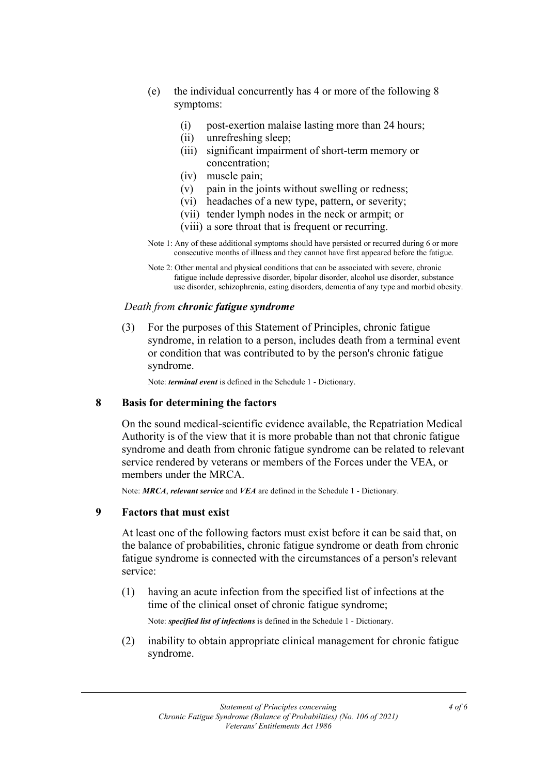- (e) the individual concurrently has 4 or more of the following 8 symptoms:
	- (i) post-exertion malaise lasting more than 24 hours;
	- (ii) unrefreshing sleep;
	- (iii) significant impairment of short-term memory or concentration;
	- (iv) muscle pain;
	- (v) pain in the joints without swelling or redness;
	- (vi) headaches of a new type, pattern, or severity;
	- (vii) tender lymph nodes in the neck or armpit; or
	- (viii) a sore throat that is frequent or recurring.
- Note 1: Any of these additional symptoms should have persisted or recurred during 6 or more consecutive months of illness and they cannot have first appeared before the fatigue.
- Note 2: Other mental and physical conditions that can be associated with severe, chronic fatigue include depressive disorder, bipolar disorder, alcohol use disorder, substance use disorder, schizophrenia, eating disorders, dementia of any type and morbid obesity.

#### *Death from chronic fatigue syndrome*

(3) For the purposes of this Statement of Principles, chronic fatigue syndrome, in relation to a person, includes death from a terminal event or condition that was contributed to by the person's chronic fatigue syndrome.

Note: *terminal event* is defined in the Schedule 1 - Dictionary.

#### **8 Basis for determining the factors**

On the sound medical-scientific evidence available, the Repatriation Medical Authority is of the view that it is more probable than not that chronic fatigue syndrome and death from chronic fatigue syndrome can be related to relevant service rendered by veterans or members of the Forces under the VEA, or members under the MRCA.

Note: *MRCA*, *relevant service* and *VEA* are defined in the Schedule 1 - Dictionary.

#### **9 Factors that must exist**

At least one of the following factors must exist before it can be said that, on the balance of probabilities, chronic fatigue syndrome or death from chronic fatigue syndrome is connected with the circumstances of a person's relevant service:

(1) having an acute infection from the specified list of infections at the time of the clinical onset of chronic fatigue syndrome;

Note: *specified list of infections* is defined in the Schedule 1 - Dictionary.

(2) inability to obtain appropriate clinical management for chronic fatigue syndrome.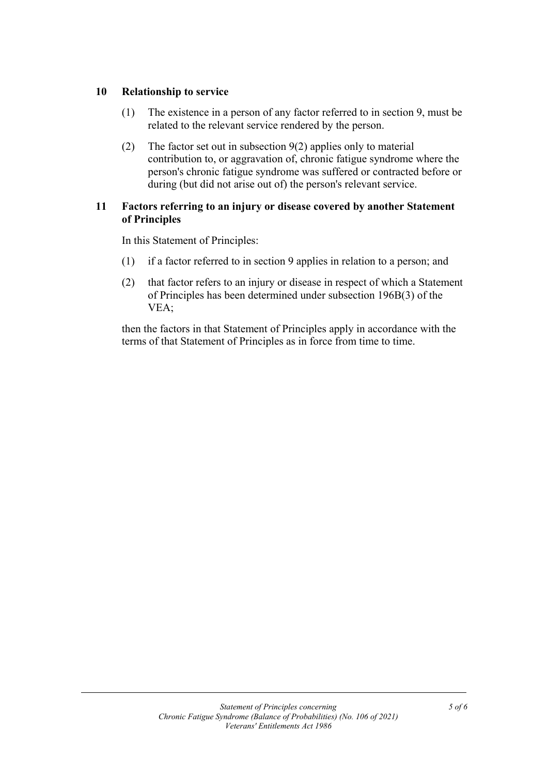#### **10 Relationship to service**

- (1) The existence in a person of any factor referred to in section 9, must be related to the relevant service rendered by the person.
- (2) The factor set out in subsection 9(2) applies only to material contribution to, or aggravation of, chronic fatigue syndrome where the person's chronic fatigue syndrome was suffered or contracted before or during (but did not arise out of) the person's relevant service.

#### **11 Factors referring to an injury or disease covered by another Statement of Principles**

In this Statement of Principles:

- (1) if a factor referred to in section 9 applies in relation to a person; and
- (2) that factor refers to an injury or disease in respect of which a Statement of Principles has been determined under subsection 196B(3) of the VEA;

then the factors in that Statement of Principles apply in accordance with the terms of that Statement of Principles as in force from time to time.